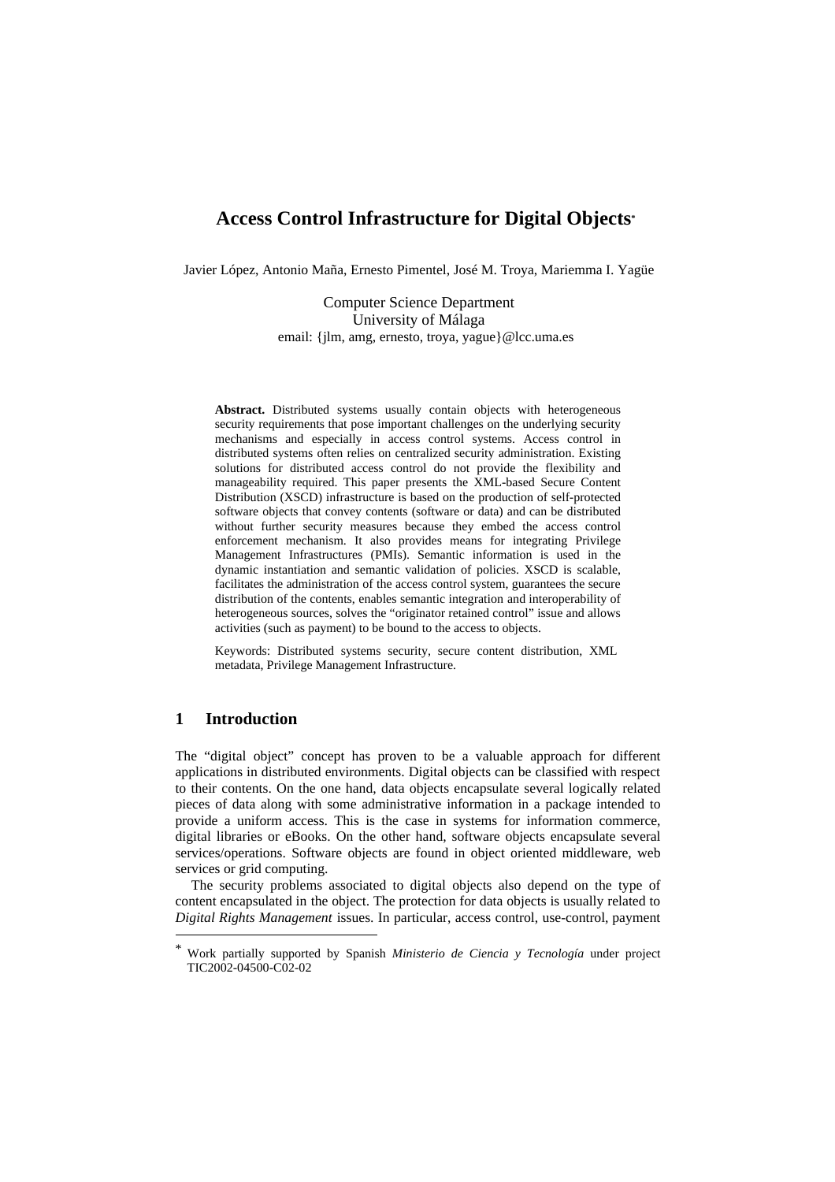# **Access Control Infrastructure for Digital Objects\***

Javier López, Antonio Maña, Ernesto Pimentel, José M. Troya, Mariemma I. Yagüe

Computer Science Department University of Málaga email: {jlm, amg, ernesto, troya, yague}@lcc.uma.es

**Abstract.** Distributed systems usually contain objects with heterogeneous security requirements that pose important challenges on the underlying security mechanisms and especially in access control systems. Access control in distributed systems often relies on centralized security administration. Existing solutions for distributed access control do not provide the flexibility and manageability required. This paper presents the XML-based Secure Content Distribution (XSCD) infrastructure is based on the production of self-protected software objects that convey contents (software or data) and can be distributed without further security measures because they embed the access control enforcement mechanism. It also provides means for integrating Privilege Management Infrastructures (PMIs). Semantic information is used in the dynamic instantiation and semantic validation of policies. XSCD is scalable, facilitates the administration of the access control system, guarantees the secure distribution of the contents, enables semantic integration and interoperability of heterogeneous sources, solves the "originator retained control" issue and allows activities (such as payment) to be bound to the access to objects.

Keywords: Distributed systems security, secure content distribution, XML metadata, Privilege Management Infrastructure.

# **1 Introduction**

 $\overline{a}$ 

The "digital object" concept has proven to be a valuable approach for different applications in distributed environments. Digital objects can be classified with respect to their contents. On the one hand, data objects encapsulate several logically related pieces of data along with some administrative information in a package intended to provide a uniform access. This is the case in systems for information commerce, digital libraries or eBooks. On the other hand, software objects encapsulate several services/operations. Software objects are found in object oriented middleware, web services or grid computing.

The security problems associated to digital objects also depend on the type of content encapsulated in the object. The protection for data objects is usually related to *Digital Rights Management* issues. In particular, access control, use-control, payment

<sup>\*</sup> Work partially supported by Spanish *Ministerio de Ciencia y Tecnología* under project TIC2002-04500-C02-02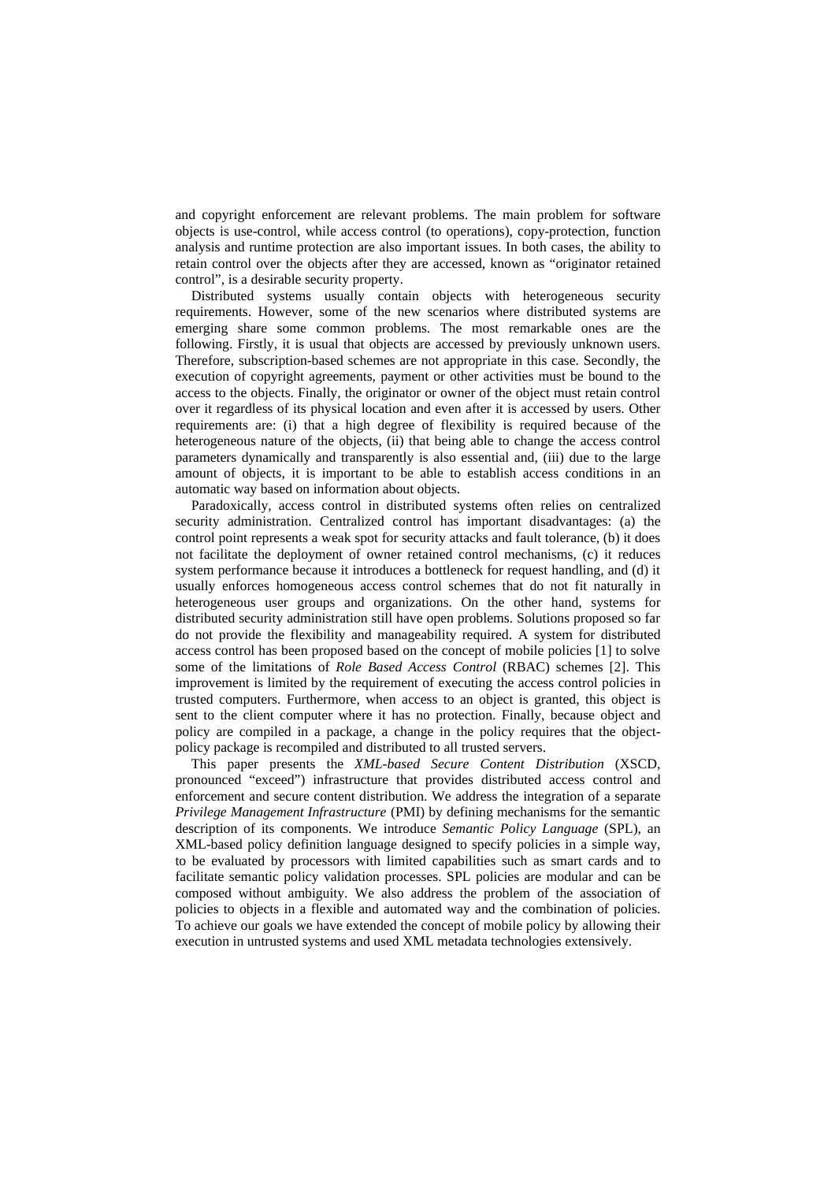and copyright enforcement are relevant problems. The main problem for software objects is use-control, while access control (to operations), copy-protection, function analysis and runtime protection are also important issues. In both cases, the ability to retain control over the objects after they are accessed, known as "originator retained control", is a desirable security property.

Distributed systems usually contain objects with heterogeneous security requirements. However, some of the new scenarios where distributed systems are emerging share some common problems. The most remarkable ones are the following. Firstly, it is usual that objects are accessed by previously unknown users. Therefore, subscription-based schemes are not appropriate in this case. Secondly, the execution of copyright agreements, payment or other activities must be bound to the access to the objects. Finally, the originator or owner of the object must retain control over it regardless of its physical location and even after it is accessed by users. Other requirements are: (i) that a high degree of flexibility is required because of the heterogeneous nature of the objects, (ii) that being able to change the access control parameters dynamically and transparently is also essential and, (iii) due to the large amount of objects, it is important to be able to establish access conditions in an automatic way based on information about objects.

Paradoxically, access control in distributed systems often relies on centralized security administration. Centralized control has important disadvantages: (a) the control point represents a weak spot for security attacks and fault tolerance, (b) it does not facilitate the deployment of owner retained control mechanisms, (c) it reduces system performance because it introduces a bottleneck for request handling, and (d) it usually enforces homogeneous access control schemes that do not fit naturally in heterogeneous user groups and organizations. On the other hand, systems for distributed security administration still have open problems. Solutions proposed so far do not provide the flexibility and manageability required. A system for distributed access control has been proposed based on the concept of mobile policies [1] to solve some of the limitations of *Role Based Access Control* (RBAC) schemes [2]. This improvement is limited by the requirement of executing the access control policies in trusted computers. Furthermore, when access to an object is granted, this object is sent to the client computer where it has no protection. Finally, because object and policy are compiled in a package, a change in the policy requires that the objectpolicy package is recompiled and distributed to all trusted servers.

This paper presents the *XML-based Secure Content Distribution* (XSCD, pronounced "exceed") infrastructure that provides distributed access control and enforcement and secure content distribution. We address the integration of a separate *Privilege Management Infrastructure* (PMI) by defining mechanisms for the semantic description of its components. We introduce *Semantic Policy Language* (SPL), an XML-based policy definition language designed to specify policies in a simple way, to be evaluated by processors with limited capabilities such as smart cards and to facilitate semantic policy validation processes. SPL policies are modular and can be composed without ambiguity. We also address the problem of the association of policies to objects in a flexible and automated way and the combination of policies. To achieve our goals we have extended the concept of mobile policy by allowing their execution in untrusted systems and used XML metadata technologies extensively.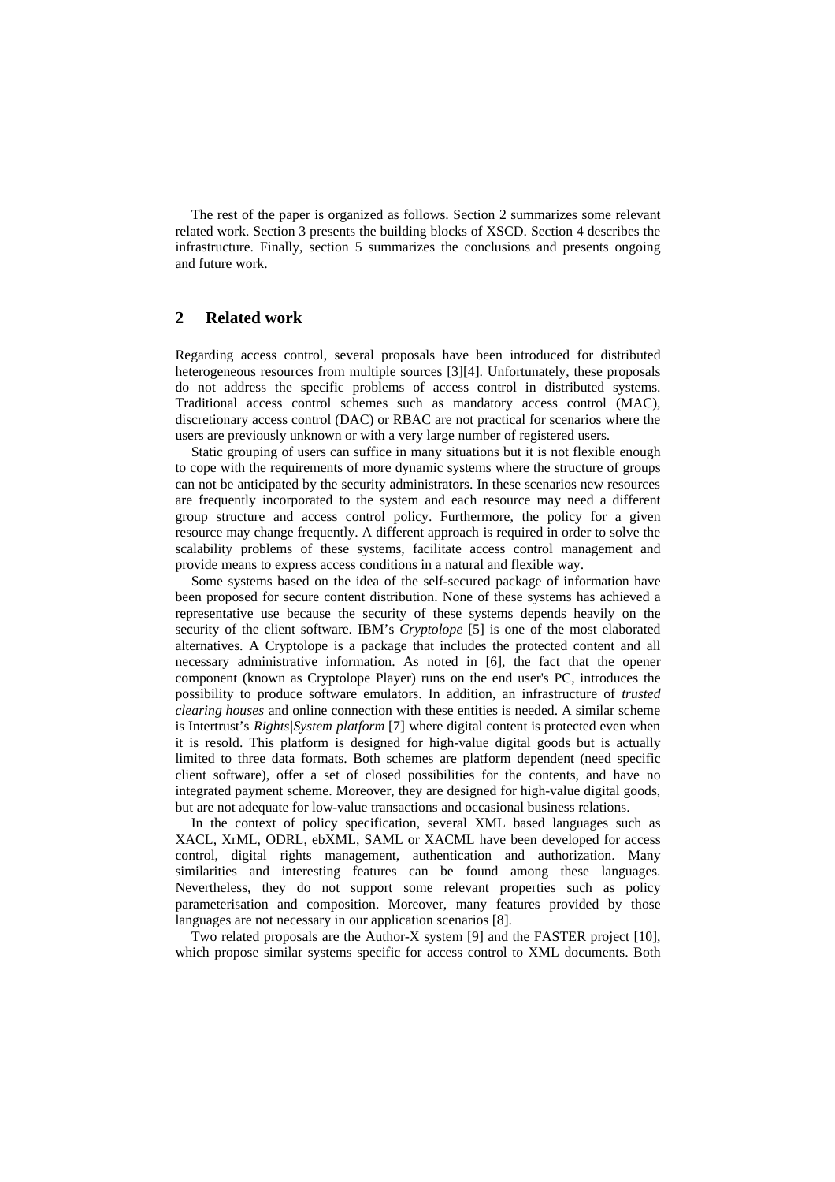The rest of the paper is organized as follows. Section 2 summarizes some relevant related work. Section 3 presents the building blocks of XSCD. Section 4 describes the infrastructure. Finally, section 5 summarizes the conclusions and presents ongoing and future work.

# **2 Related work**

Regarding access control, several proposals have been introduced for distributed heterogeneous resources from multiple sources [3][4]. Unfortunately, these proposals do not address the specific problems of access control in distributed systems. Traditional access control schemes such as mandatory access control (MAC), discretionary access control (DAC) or RBAC are not practical for scenarios where the users are previously unknown or with a very large number of registered users.

Static grouping of users can suffice in many situations but it is not flexible enough to cope with the requirements of more dynamic systems where the structure of groups can not be anticipated by the security administrators. In these scenarios new resources are frequently incorporated to the system and each resource may need a different group structure and access control policy. Furthermore, the policy for a given resource may change frequently. A different approach is required in order to solve the scalability problems of these systems, facilitate access control management and provide means to express access conditions in a natural and flexible way.

Some systems based on the idea of the self-secured package of information have been proposed for secure content distribution. None of these systems has achieved a representative use because the security of these systems depends heavily on the security of the client software. IBM's *Cryptolope* [5] is one of the most elaborated alternatives. A Cryptolope is a package that includes the protected content and all necessary administrative information. As noted in [6], the fact that the opener component (known as Cryptolope Player) runs on the end user's PC, introduces the possibility to produce software emulators. In addition, an infrastructure of *trusted clearing houses* and online connection with these entities is needed. A similar scheme is Intertrust's *Rights|System platform* [7] where digital content is protected even when it is resold. This platform is designed for high-value digital goods but is actually limited to three data formats. Both schemes are platform dependent (need specific client software), offer a set of closed possibilities for the contents, and have no integrated payment scheme. Moreover, they are designed for high-value digital goods, but are not adequate for low-value transactions and occasional business relations.

In the context of policy specification, several XML based languages such as XACL, XrML, ODRL, ebXML, SAML or XACML have been developed for access control, digital rights management, authentication and authorization. Many similarities and interesting features can be found among these languages. Nevertheless, they do not support some relevant properties such as policy parameterisation and composition. Moreover, many features provided by those languages are not necessary in our application scenarios [8].

Two related proposals are the Author-X system [9] and the FASTER project [10], which propose similar systems specific for access control to XML documents. Both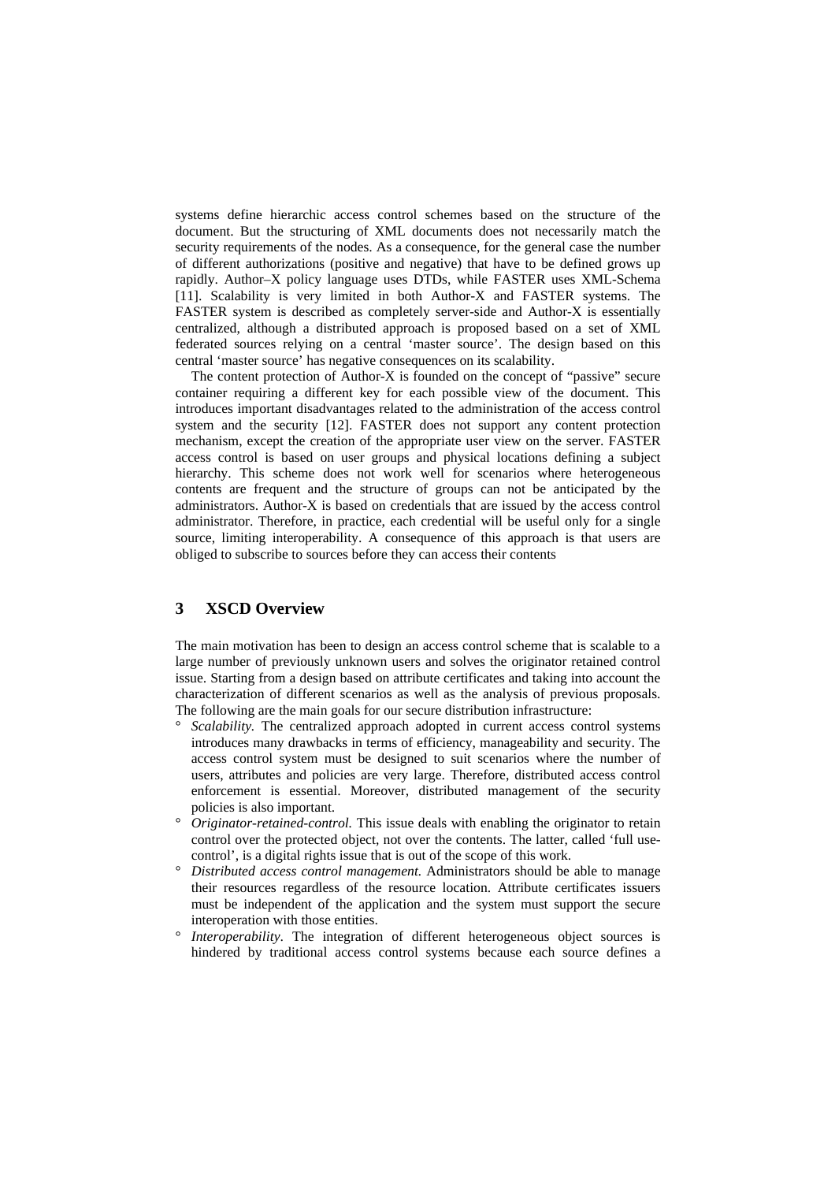systems define hierarchic access control schemes based on the structure of the document. But the structuring of XML documents does not necessarily match the security requirements of the nodes. As a consequence, for the general case the number of different authorizations (positive and negative) that have to be defined grows up rapidly. Author–X policy language uses DTDs, while FASTER uses XML-Schema [11]. Scalability is very limited in both Author-X and FASTER systems. The FASTER system is described as completely server-side and Author-X is essentially centralized, although a distributed approach is proposed based on a set of XML federated sources relying on a central 'master source'. The design based on this central 'master source' has negative consequences on its scalability.

The content protection of Author-X is founded on the concept of "passive" secure container requiring a different key for each possible view of the document. This introduces important disadvantages related to the administration of the access control system and the security [12]. FASTER does not support any content protection mechanism, except the creation of the appropriate user view on the server. FASTER access control is based on user groups and physical locations defining a subject hierarchy. This scheme does not work well for scenarios where heterogeneous contents are frequent and the structure of groups can not be anticipated by the administrators. Author-X is based on credentials that are issued by the access control administrator. Therefore, in practice, each credential will be useful only for a single source, limiting interoperability. A consequence of this approach is that users are obliged to subscribe to sources before they can access their contents

### **3 XSCD Overview**

The main motivation has been to design an access control scheme that is scalable to a large number of previously unknown users and solves the originator retained control issue. Starting from a design based on attribute certificates and taking into account the characterization of different scenarios as well as the analysis of previous proposals. The following are the main goals for our secure distribution infrastructure:

- Scalability. The centralized approach adopted in current access control systems introduces many drawbacks in terms of efficiency, manageability and security. The access control system must be designed to suit scenarios where the number of users, attributes and policies are very large. Therefore, distributed access control enforcement is essential. Moreover, distributed management of the security policies is also important.
- ° *Originator-retained-control.* This issue deals with enabling the originator to retain control over the protected object, not over the contents. The latter, called 'full usecontrol', is a digital rights issue that is out of the scope of this work.
- ° *Distributed access control management.* Administrators should be able to manage their resources regardless of the resource location. Attribute certificates issuers must be independent of the application and the system must support the secure interoperation with those entities.
- ° *Interoperability*. The integration of different heterogeneous object sources is hindered by traditional access control systems because each source defines a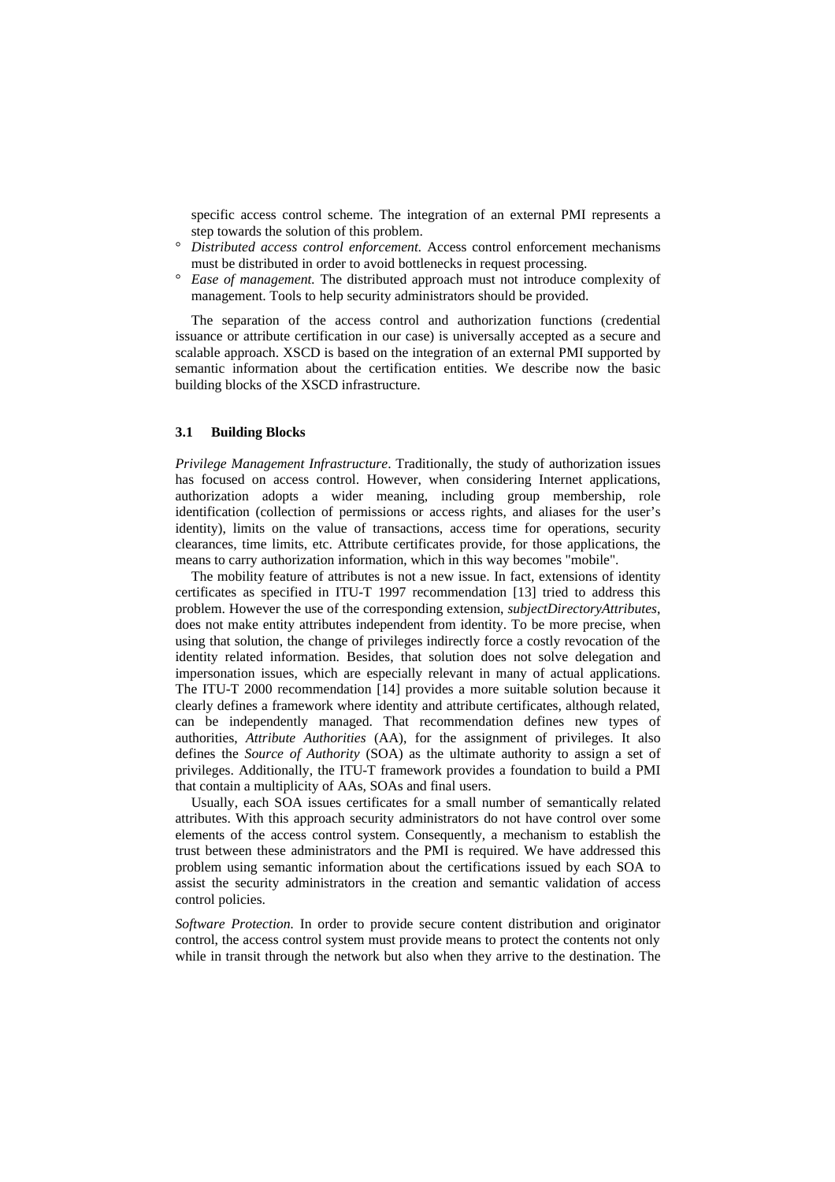specific access control scheme. The integration of an external PMI represents a step towards the solution of this problem.

- ° *Distributed access control enforcement.* Access control enforcement mechanisms must be distributed in order to avoid bottlenecks in request processing.
- ° *Ease of management.* The distributed approach must not introduce complexity of management. Tools to help security administrators should be provided.

The separation of the access control and authorization functions (credential issuance or attribute certification in our case) is universally accepted as a secure and scalable approach. XSCD is based on the integration of an external PMI supported by semantic information about the certification entities. We describe now the basic building blocks of the XSCD infrastructure.

#### **3.1 Building Blocks**

*Privilege Management Infrastructure*. Traditionally, the study of authorization issues has focused on access control. However, when considering Internet applications, authorization adopts a wider meaning, including group membership, role identification (collection of permissions or access rights, and aliases for the user's identity), limits on the value of transactions, access time for operations, security clearances, time limits, etc. Attribute certificates provide, for those applications, the means to carry authorization information, which in this way becomes "mobile".

The mobility feature of attributes is not a new issue. In fact, extensions of identity certificates as specified in ITU-T 1997 recommendation [13] tried to address this problem. However the use of the corresponding extension, *subjectDirectoryAttributes*, does not make entity attributes independent from identity. To be more precise, when using that solution, the change of privileges indirectly force a costly revocation of the identity related information. Besides, that solution does not solve delegation and impersonation issues, which are especially relevant in many of actual applications. The ITU-T 2000 recommendation [14] provides a more suitable solution because it clearly defines a framework where identity and attribute certificates, although related, can be independently managed. That recommendation defines new types of authorities, *Attribute Authorities* (AA), for the assignment of privileges. It also defines the *Source of Authority* (SOA) as the ultimate authority to assign a set of privileges. Additionally, the ITU-T framework provides a foundation to build a PMI that contain a multiplicity of AAs, SOAs and final users.

Usually, each SOA issues certificates for a small number of semantically related attributes. With this approach security administrators do not have control over some elements of the access control system. Consequently, a mechanism to establish the trust between these administrators and the PMI is required. We have addressed this problem using semantic information about the certifications issued by each SOA to assist the security administrators in the creation and semantic validation of access control policies.

*Software Protection.* In order to provide secure content distribution and originator control, the access control system must provide means to protect the contents not only while in transit through the network but also when they arrive to the destination. The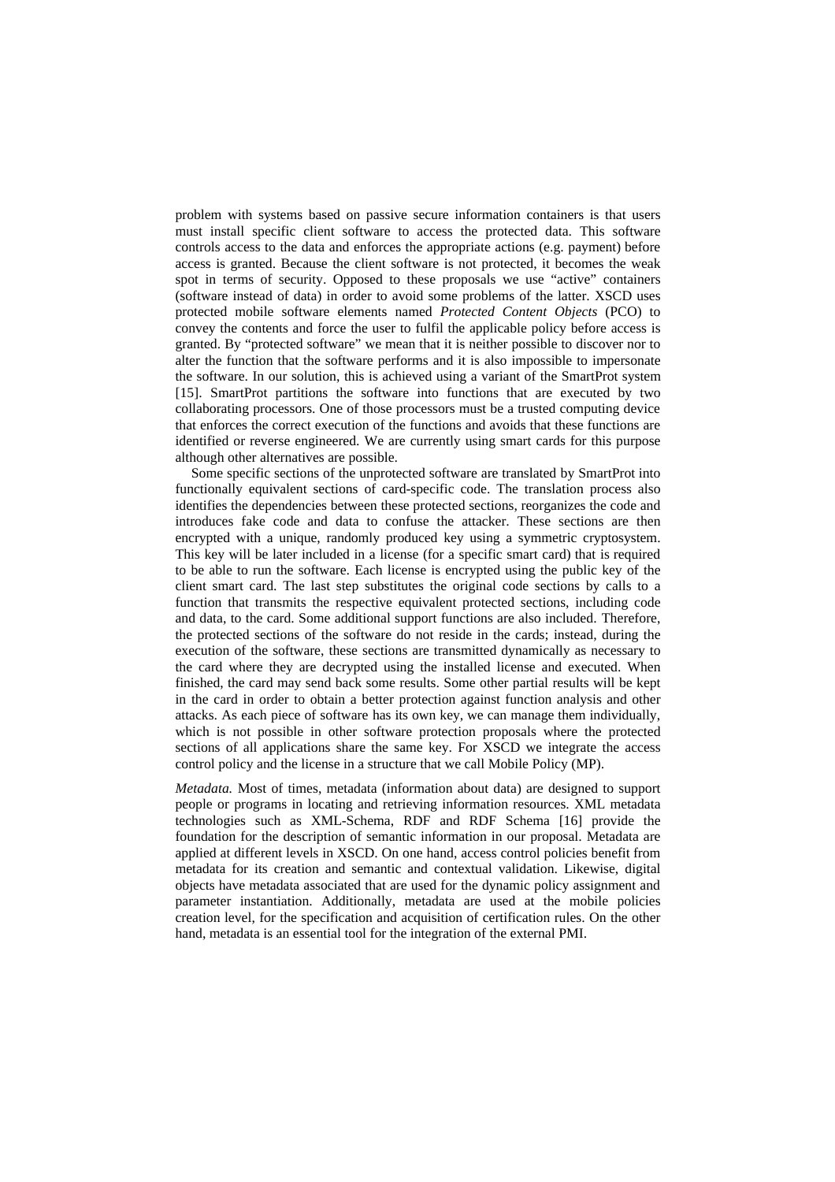problem with systems based on passive secure information containers is that users must install specific client software to access the protected data. This software controls access to the data and enforces the appropriate actions (e.g. payment) before access is granted. Because the client software is not protected, it becomes the weak spot in terms of security. Opposed to these proposals we use "active" containers (software instead of data) in order to avoid some problems of the latter. XSCD uses protected mobile software elements named *Protected Content Objects* (PCO) to convey the contents and force the user to fulfil the applicable policy before access is granted. By "protected software" we mean that it is neither possible to discover nor to alter the function that the software performs and it is also impossible to impersonate the software. In our solution, this is achieved using a variant of the SmartProt system [15]. SmartProt partitions the software into functions that are executed by two collaborating processors. One of those processors must be a trusted computing device that enforces the correct execution of the functions and avoids that these functions are identified or reverse engineered. We are currently using smart cards for this purpose although other alternatives are possible.

Some specific sections of the unprotected software are translated by SmartProt into functionally equivalent sections of card-specific code. The translation process also identifies the dependencies between these protected sections, reorganizes the code and introduces fake code and data to confuse the attacker. These sections are then encrypted with a unique, randomly produced key using a symmetric cryptosystem. This key will be later included in a license (for a specific smart card) that is required to be able to run the software. Each license is encrypted using the public key of the client smart card. The last step substitutes the original code sections by calls to a function that transmits the respective equivalent protected sections, including code and data, to the card. Some additional support functions are also included. Therefore, the protected sections of the software do not reside in the cards; instead, during the execution of the software, these sections are transmitted dynamically as necessary to the card where they are decrypted using the installed license and executed. When finished, the card may send back some results. Some other partial results will be kept in the card in order to obtain a better protection against function analysis and other attacks. As each piece of software has its own key, we can manage them individually, which is not possible in other software protection proposals where the protected sections of all applications share the same key. For XSCD we integrate the access control policy and the license in a structure that we call Mobile Policy (MP).

*Metadata.* Most of times, metadata (information about data) are designed to support people or programs in locating and retrieving information resources. XML metadata technologies such as XML-Schema, RDF and RDF Schema [16] provide the foundation for the description of semantic information in our proposal. Metadata are applied at different levels in XSCD. On one hand, access control policies benefit from metadata for its creation and semantic and contextual validation. Likewise, digital objects have metadata associated that are used for the dynamic policy assignment and parameter instantiation. Additionally, metadata are used at the mobile policies creation level, for the specification and acquisition of certification rules. On the other hand, metadata is an essential tool for the integration of the external PMI.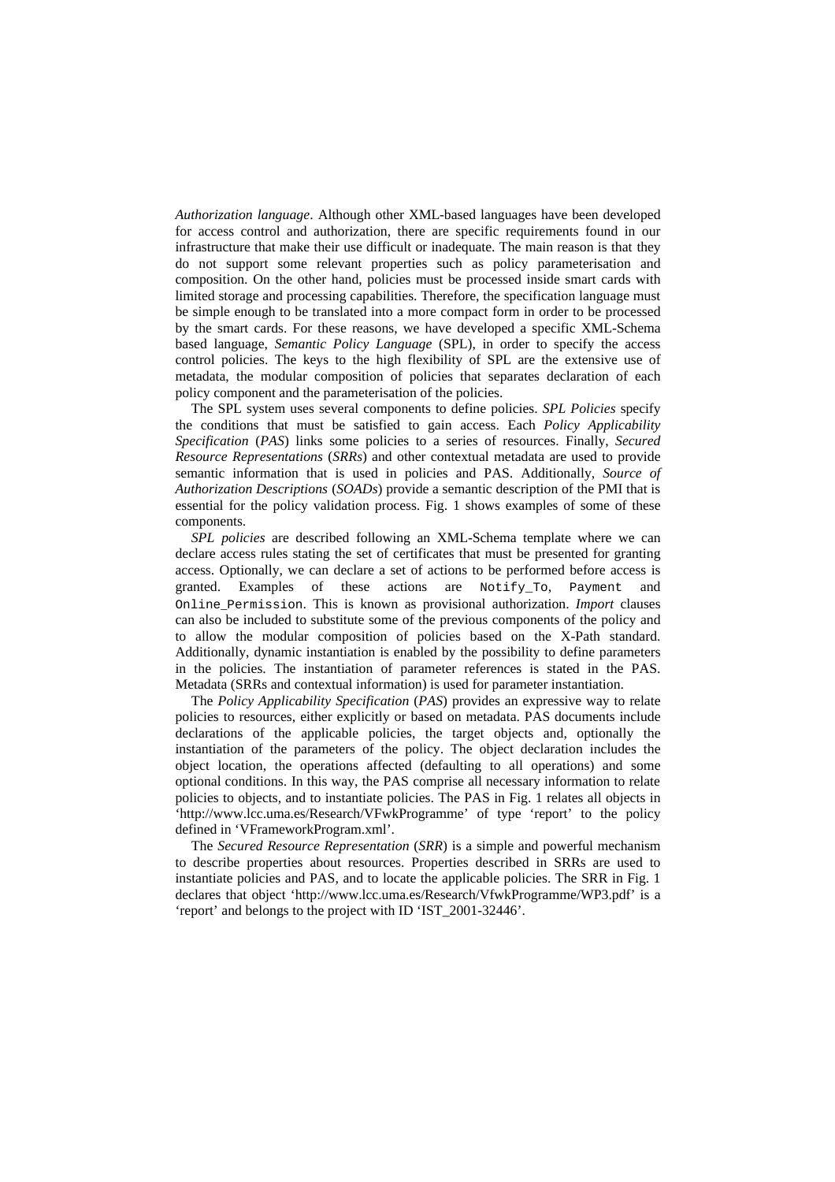*Authorization language*. Although other XML-based languages have been developed for access control and authorization, there are specific requirements found in our infrastructure that make their use difficult or inadequate. The main reason is that they do not support some relevant properties such as policy parameterisation and composition. On the other hand, policies must be processed inside smart cards with limited storage and processing capabilities. Therefore, the specification language must be simple enough to be translated into a more compact form in order to be processed by the smart cards. For these reasons, we have developed a specific XML-Schema based language, *Semantic Policy Language* (SPL), in order to specify the access control policies. The keys to the high flexibility of SPL are the extensive use of metadata, the modular composition of policies that separates declaration of each policy component and the parameterisation of the policies.

The SPL system uses several components to define policies. *SPL Policies* specify the conditions that must be satisfied to gain access. Each *Policy Applicability Specification* (*PAS*) links some policies to a series of resources. Finally, *Secured Resource Representations* (*SRRs*) and other contextual metadata are used to provide semantic information that is used in policies and PAS. Additionally, *Source of Authorization Descriptions* (*SOADs*) provide a semantic description of the PMI that is essential for the policy validation process. Fig. 1 shows examples of some of these components.

*SPL policies* are described following an XML-Schema template where we can declare access rules stating the set of certificates that must be presented for granting access. Optionally, we can declare a set of actions to be performed before access is granted. Examples of these actions are Notify\_To, Payment and Online\_Permission. This is known as provisional authorization. *Import* clauses can also be included to substitute some of the previous components of the policy and to allow the modular composition of policies based on the X-Path standard. Additionally, dynamic instantiation is enabled by the possibility to define parameters in the policies. The instantiation of parameter references is stated in the PAS. Metadata (SRRs and contextual information) is used for parameter instantiation.

The *Policy Applicability Specification* (*PAS*) provides an expressive way to relate policies to resources, either explicitly or based on metadata. PAS documents include declarations of the applicable policies, the target objects and, optionally the instantiation of the parameters of the policy. The object declaration includes the object location, the operations affected (defaulting to all operations) and some optional conditions. In this way, the PAS comprise all necessary information to relate policies to objects, and to instantiate policies. The PAS in Fig. 1 relates all objects in 'http://www.lcc.uma.es/Research/VFwkProgramme' of type 'report' to the policy defined in 'VFrameworkProgram.xml'.

The *Secured Resource Representation* (*SRR*) is a simple and powerful mechanism to describe properties about resources. Properties described in SRRs are used to instantiate policies and PAS, and to locate the applicable policies. The SRR in Fig. 1 declares that object 'http://www.lcc.uma.es/Research/VfwkProgramme/WP3.pdf' is a 'report' and belongs to the project with ID 'IST\_2001-32446'.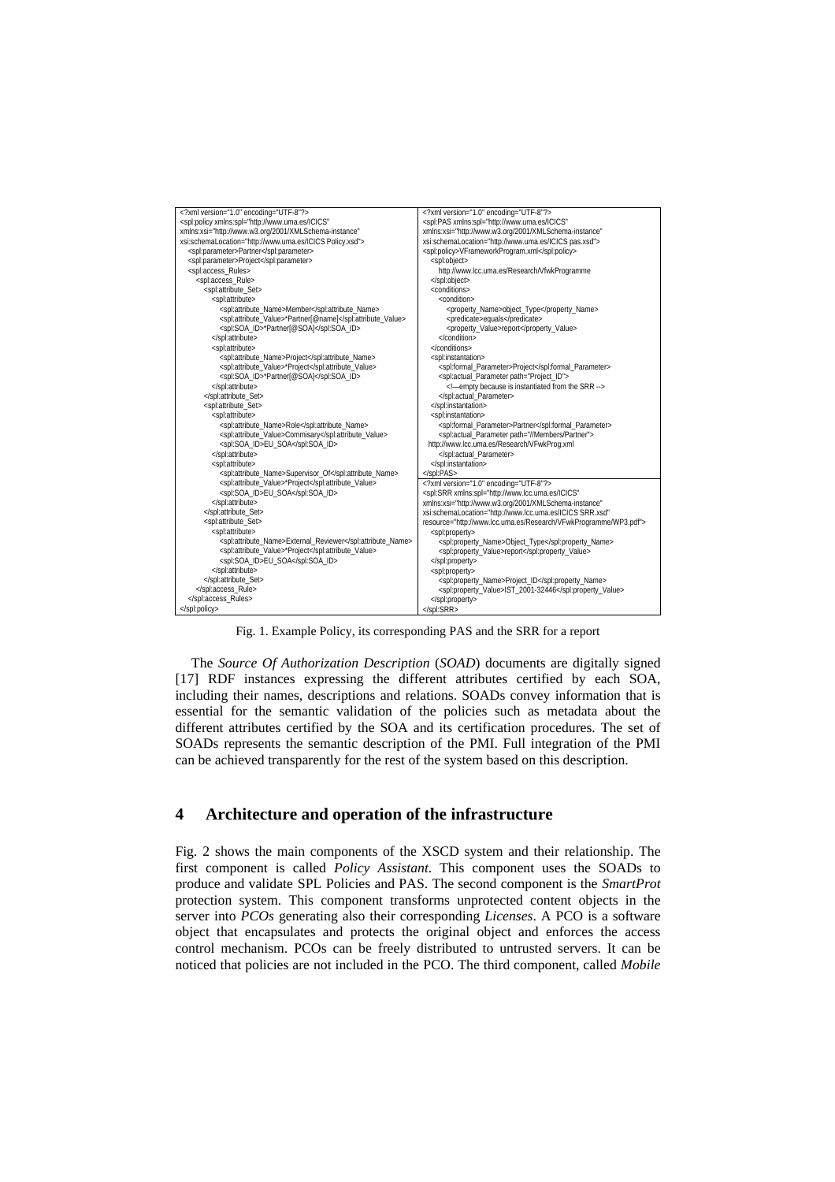

Fig. 1. Example Policy, its corresponding PAS and the SRR for a report

The *Source Of Authorization Description* (*SOAD*) documents are digitally signed [17] RDF instances expressing the different attributes certified by each SOA, including their names, descriptions and relations. SOADs convey information that is essential for the semantic validation of the policies such as metadata about the different attributes certified by the SOA and its certification procedures. The set of SOADs represents the semantic description of the PMI. Full integration of the PMI can be achieved transparently for the rest of the system based on this description.

### **4 Architecture and operation of the infrastructure**

Fig. 2 shows the main components of the XSCD system and their relationship. The first component is called *Policy Assistant*. This component uses the SOADs to produce and validate SPL Policies and PAS. The second component is the *SmartProt* protection system. This component transforms unprotected content objects in the server into *PCOs* generating also their corresponding *Licenses*. A PCO is a software object that encapsulates and protects the original object and enforces the access control mechanism. PCOs can be freely distributed to untrusted servers. It can be noticed that policies are not included in the PCO. The third component, called *Mobile*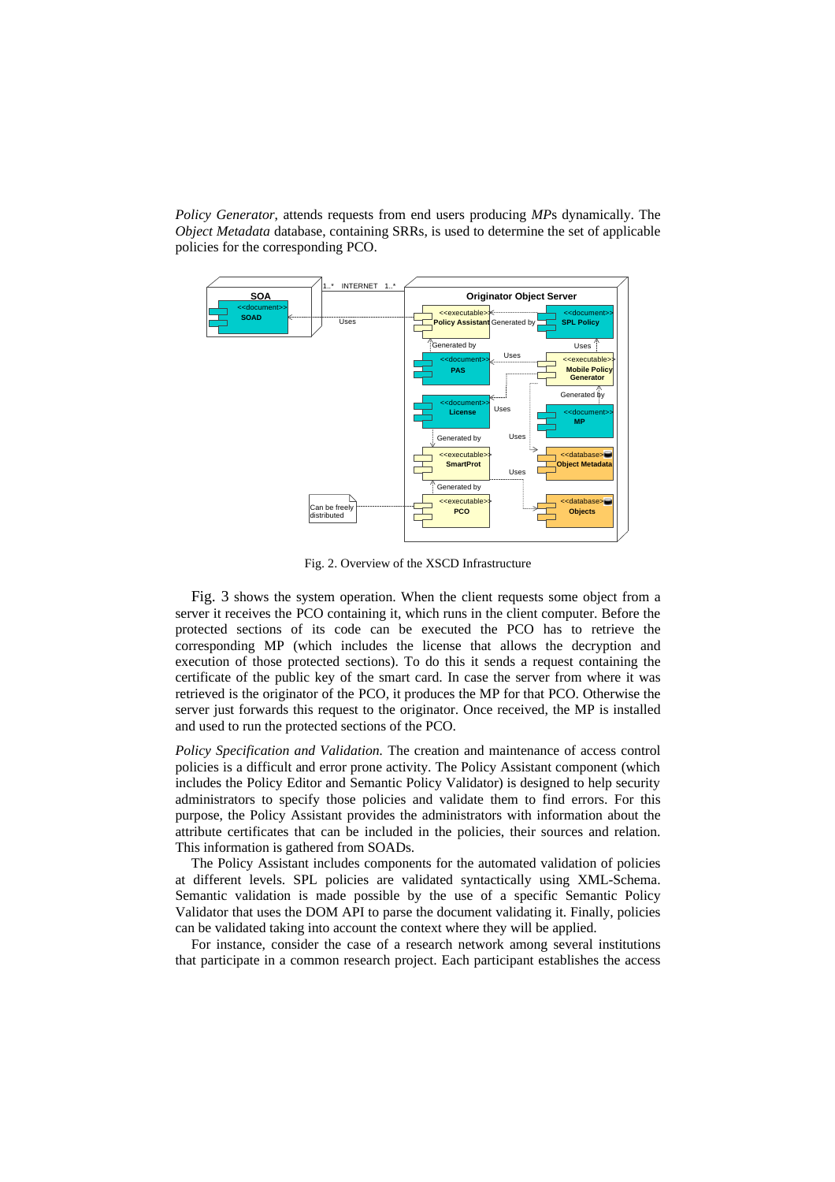*Policy Generator*, attends requests from end users producing *MP*s dynamically. The *Object Metadata* database, containing SRRs, is used to determine the set of applicable policies for the corresponding PCO.



Fig. 2. Overview of the XSCD Infrastructure

Fig. 3 shows the system operation. When the client requests some object from a server it receives the PCO containing it, which runs in the client computer. Before the protected sections of its code can be executed the PCO has to retrieve the corresponding MP (which includes the license that allows the decryption and execution of those protected sections). To do this it sends a request containing the certificate of the public key of the smart card. In case the server from where it was retrieved is the originator of the PCO, it produces the MP for that PCO. Otherwise the server just forwards this request to the originator. Once received, the MP is installed and used to run the protected sections of the PCO.

*Policy Specification and Validation.* The creation and maintenance of access control policies is a difficult and error prone activity. The Policy Assistant component (which includes the Policy Editor and Semantic Policy Validator) is designed to help security administrators to specify those policies and validate them to find errors. For this purpose, the Policy Assistant provides the administrators with information about the attribute certificates that can be included in the policies, their sources and relation. This information is gathered from SOADs.

The Policy Assistant includes components for the automated validation of policies at different levels. SPL policies are validated syntactically using XML-Schema. Semantic validation is made possible by the use of a specific Semantic Policy Validator that uses the DOM API to parse the document validating it. Finally, policies can be validated taking into account the context where they will be applied.

For instance, consider the case of a research network among several institutions that participate in a common research project. Each participant establishes the access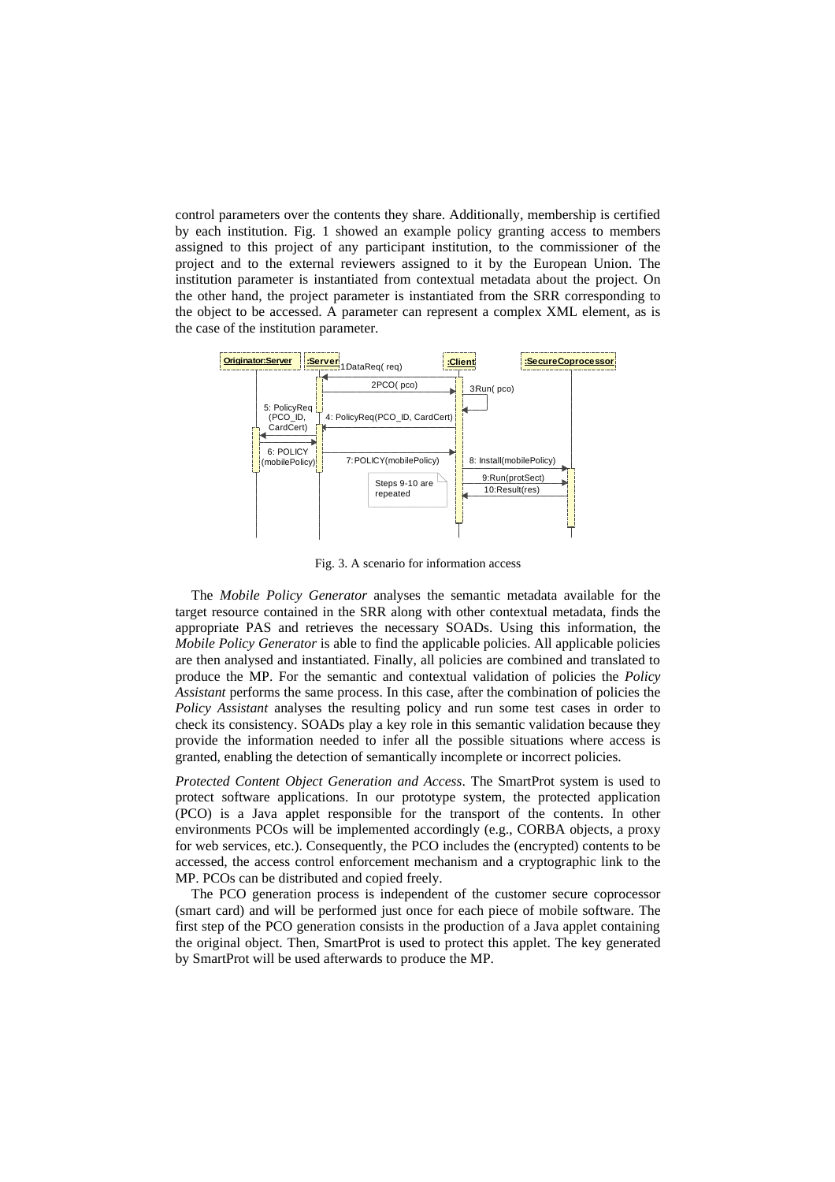control parameters over the contents they share. Additionally, membership is certified by each institution. Fig. 1 showed an example policy granting access to members assigned to this project of any participant institution, to the commissioner of the project and to the external reviewers assigned to it by the European Union. The institution parameter is instantiated from contextual metadata about the project. On the other hand, the project parameter is instantiated from the SRR corresponding to the object to be accessed. A parameter can represent a complex XML element, as is the case of the institution parameter.



Fig. 3. A scenario for information access

The *Mobile Policy Generator* analyses the semantic metadata available for the target resource contained in the SRR along with other contextual metadata, finds the appropriate PAS and retrieves the necessary SOADs. Using this information, the *Mobile Policy Generator* is able to find the applicable policies. All applicable policies are then analysed and instantiated. Finally, all policies are combined and translated to produce the MP. For the semantic and contextual validation of policies the *Policy Assistant* performs the same process. In this case, after the combination of policies the *Policy Assistant* analyses the resulting policy and run some test cases in order to check its consistency. SOADs play a key role in this semantic validation because they provide the information needed to infer all the possible situations where access is granted, enabling the detection of semantically incomplete or incorrect policies.

*Protected Content Object Generation and Access*. The SmartProt system is used to protect software applications. In our prototype system, the protected application (PCO) is a Java applet responsible for the transport of the contents. In other environments PCOs will be implemented accordingly (e.g., CORBA objects, a proxy for web services, etc.). Consequently, the PCO includes the (encrypted) contents to be accessed, the access control enforcement mechanism and a cryptographic link to the MP. PCOs can be distributed and copied freely.

The PCO generation process is independent of the customer secure coprocessor (smart card) and will be performed just once for each piece of mobile software. The first step of the PCO generation consists in the production of a Java applet containing the original object. Then, SmartProt is used to protect this applet. The key generated by SmartProt will be used afterwards to produce the MP.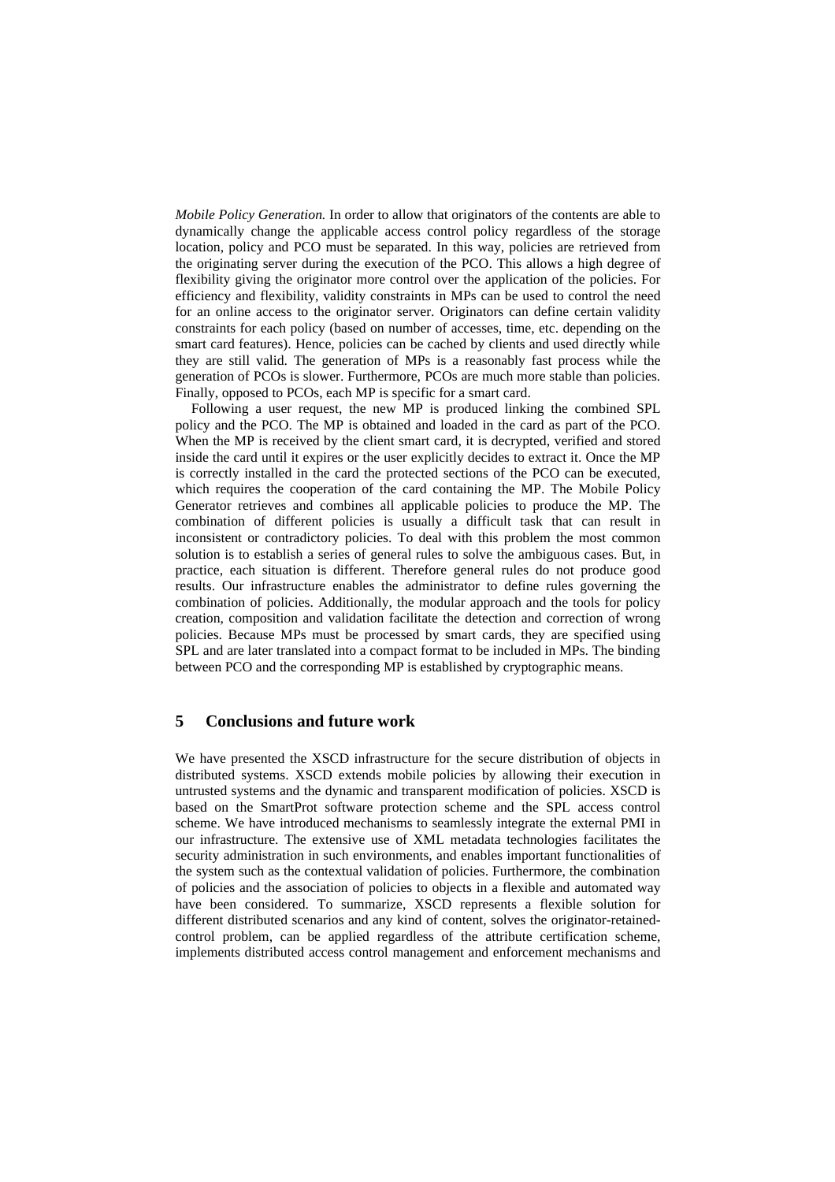*Mobile Policy Generation.* In order to allow that originators of the contents are able to dynamically change the applicable access control policy regardless of the storage location, policy and PCO must be separated. In this way, policies are retrieved from the originating server during the execution of the PCO. This allows a high degree of flexibility giving the originator more control over the application of the policies. For efficiency and flexibility, validity constraints in MPs can be used to control the need for an online access to the originator server. Originators can define certain validity constraints for each policy (based on number of accesses, time, etc. depending on the smart card features). Hence, policies can be cached by clients and used directly while they are still valid. The generation of MPs is a reasonably fast process while the generation of PCOs is slower. Furthermore, PCOs are much more stable than policies. Finally, opposed to PCOs, each MP is specific for a smart card.

Following a user request, the new MP is produced linking the combined SPL policy and the PCO. The MP is obtained and loaded in the card as part of the PCO. When the MP is received by the client smart card, it is decrypted, verified and stored inside the card until it expires or the user explicitly decides to extract it. Once the MP is correctly installed in the card the protected sections of the PCO can be executed, which requires the cooperation of the card containing the MP. The Mobile Policy Generator retrieves and combines all applicable policies to produce the MP. The combination of different policies is usually a difficult task that can result in inconsistent or contradictory policies. To deal with this problem the most common solution is to establish a series of general rules to solve the ambiguous cases. But, in practice, each situation is different. Therefore general rules do not produce good results. Our infrastructure enables the administrator to define rules governing the combination of policies. Additionally, the modular approach and the tools for policy creation, composition and validation facilitate the detection and correction of wrong policies. Because MPs must be processed by smart cards, they are specified using SPL and are later translated into a compact format to be included in MPs. The binding between PCO and the corresponding MP is established by cryptographic means.

### **5 Conclusions and future work**

We have presented the XSCD infrastructure for the secure distribution of objects in distributed systems. XSCD extends mobile policies by allowing their execution in untrusted systems and the dynamic and transparent modification of policies. XSCD is based on the SmartProt software protection scheme and the SPL access control scheme. We have introduced mechanisms to seamlessly integrate the external PMI in our infrastructure. The extensive use of XML metadata technologies facilitates the security administration in such environments, and enables important functionalities of the system such as the contextual validation of policies. Furthermore, the combination of policies and the association of policies to objects in a flexible and automated way have been considered. To summarize, XSCD represents a flexible solution for different distributed scenarios and any kind of content, solves the originator-retainedcontrol problem, can be applied regardless of the attribute certification scheme, implements distributed access control management and enforcement mechanisms and